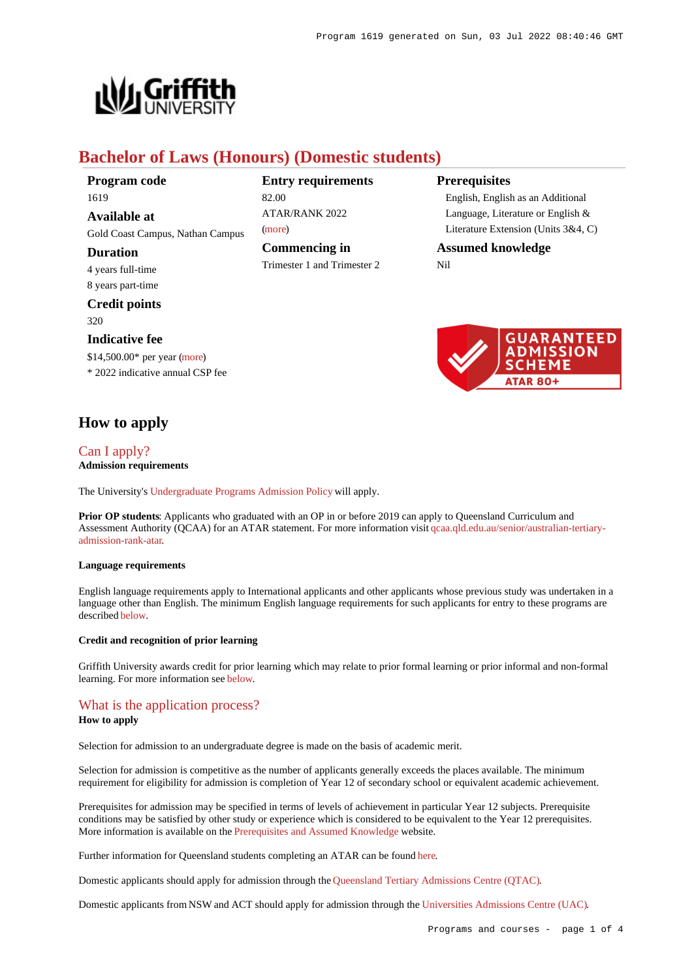**Prerequisites**

Nil



# **Bachelor of Laws (Honours) (Domestic students)**

82.00

[\(more](https://www148.griffith.edu.au/programs-courses/Program/1619/HowToApply/Domestic#tac-entry-requirements))

**Entry requirements**

ATAR/RANK 2022

**Commencing in** Trimester 1 and Trimester 2

**Program code** 1619 **Available at** Gold Coast Campus, Nathan Campus **Duration** 4 years full-time 8 years part-time **Credit points** 320 **Indicative fee** \$14,500.00\* per year [\(more](https://www148.griffith.edu.au/programs-courses/Program/1619/Overview/Domestic#fees)) \* 2022 indicative annual CSP fee

## **How to apply**

#### [Can I apply?](https://www148.griffith.edu.au/programs-courses/Program/1619/HowToApply/Domestic#can-i-apply) **Admission requirements**

The University's [Undergraduate Programs Admission Policy](https://sharepointpubstor.blob.core.windows.net/policylibrary-prod/Undergraduate Programs Admission Policy.pdf) will apply.

**Prior OP students**: Applicants who graduated with an OP in or before 2019 can apply to Queensland Curriculum and Assessment Authority (QCAA) for an ATAR statement. For more information visit [qcaa.qld.edu.au/senior/australian-tertiary](http://qcaa.qld.edu.au/senior/australian-tertiary-admission-rank-atar)[admission-rank-atar](http://qcaa.qld.edu.au/senior/australian-tertiary-admission-rank-atar).

#### **Language requirements**

English language requirements apply to International applicants and other applicants whose previous study was undertaken in a language other than English. The minimum English language requirements for such applicants for entry to these programs are described [below](https://www148.griffith.edu.au/programs-courses/Program/1619/HowToApply/Domestic#language).

#### **Credit and recognition of prior learning**

Griffith University awards credit for prior learning which may relate to prior formal learning or prior informal and non-formal learning. For more information see [below](https://www148.griffith.edu.au/programs-courses/Program/1619/HowToApply/Domestic#credit).

#### [What is the application process?](https://www148.griffith.edu.au/programs-courses/Program/1619/HowToApply/Domestic#process)

#### **How to apply**

Selection for admission to an undergraduate degree is made on the basis of academic merit.

Selection for admission is competitive as the number of applicants generally exceeds the places available. The minimum requirement for eligibility for admission is completion of Year 12 of secondary school or equivalent academic achievement.

Prerequisites for admission may be specified in terms of levels of achievement in particular Year 12 subjects. Prerequisite conditions may be satisfied by other study or experience which is considered to be equivalent to the Year 12 prerequisites. More information is available on the [Prerequisites and Assumed Knowledge](https://www.griffith.edu.au/apply/prerequisites-assumed-knowledge) website.

Further information for Queensland students completing an ATAR can be found [here](https://www.griffith.edu.au/apply/undergraduate-study/high-school-students/admission-in-2021).

Domestic applicants should apply for admission through the [Queensland Tertiary Admissions Centre \(QTAC\)](http://www.qtac.edu.au/).

Domestic applicants from NSW and ACT should apply for admission through the [Universities Admissions Centre \(UAC\)](http://www.uac.edu.au/).



English, English as an Additional Language, Literature or English & Literature Extension (Units 3&4, C)

**Assumed knowledge**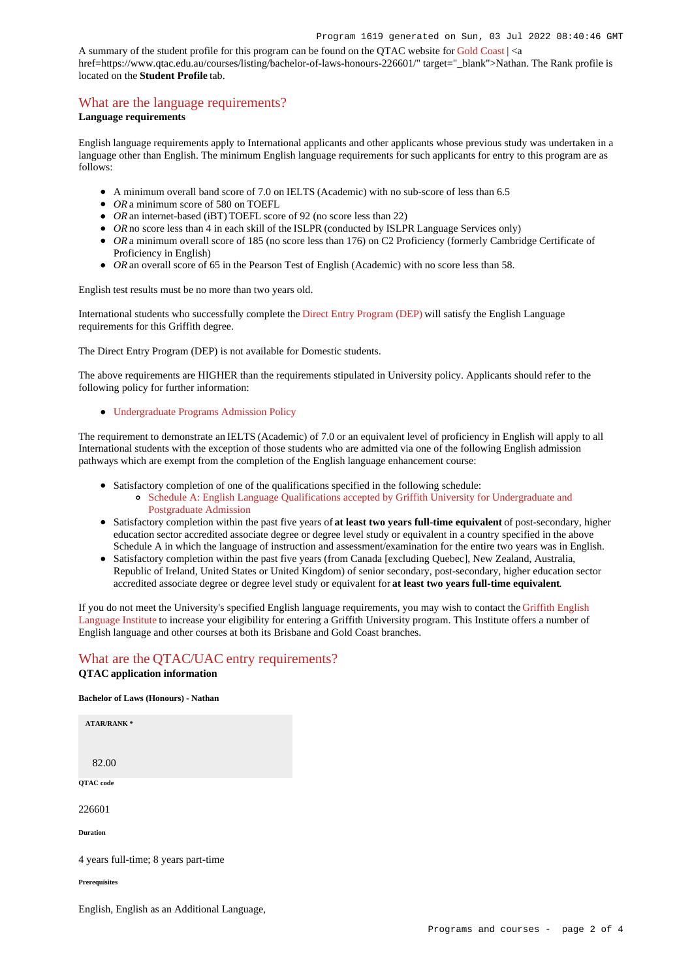A summary of the student profile for this program can be found on the QTAC website for [Gold Coast](https://www.qtac.edu.au/courses/listing/bachelor-of-laws-honours-236601/) | <a href=https://www.qtac.edu.au/courses/listing/bachelor-of-laws-honours-226601/" target="\_blank">Nathan. The Rank profile is located on the **Student Profile** tab.

### [What are the language requirements?](https://www148.griffith.edu.au/programs-courses/Program/1619/HowToApply/Domestic#language)

#### **Language requirements**

English language requirements apply to International applicants and other applicants whose previous study was undertaken in a language other than English. The minimum English language requirements for such applicants for entry to this program are as follows:

- A minimum overall band score of 7.0 on IELTS (Academic) with no sub-score of less than 6.5
- OR a minimum score of 580 on TOEFL
- *OR* an internet-based (iBT) TOEFL score of 92 (no score less than 22)
- OR no score less than 4 in each skill of the ISLPR (conducted by ISLPR Language Services only)
- OR a minimum overall score of 185 (no score less than 176) on C2 Proficiency (formerly Cambridge Certificate of Proficiency in English)
- *OR* an overall score of 65 in the Pearson Test of English (Academic) with no score less than 58.

English test results must be no more than two years old.

International students who successfully complete the [Direct Entry Program \(DEP\)](https://www.griffith.edu.au/international/griffith-english-language-institute/courses/direct-entry-program) will satisfy the English Language requirements for this Griffith degree.

The Direct Entry Program (DEP) is not available for Domestic students.

The above requirements are HIGHER than the requirements stipulated in University policy. Applicants should refer to the following policy for further information:

#### [Undergraduate Programs Admission Policy](http://policies.griffith.edu.au/pdf/Undergraduate Programs Admission Policy.pdf)

The requirement to demonstrate an IELTS (Academic) of 7.0 or an equivalent level of proficiency in English will apply to all International students with the exception of those students who are admitted via one of the following English admission pathways which are exempt from the completion of the English language enhancement course:

- Satisfactory completion of one of the qualifications specified in the following schedule:
	- [Schedule A: English Language Qualifications accepted by Griffith University for Undergraduate and](https://policies.griffith.edu.au/pdf/Admission-Policy-Schedule-A.pdf) [Postgraduate Admission](https://policies.griffith.edu.au/pdf/Admission-Policy-Schedule-A.pdf)
- Satisfactory completion within the past five years of **at least two years full-time equivalent** of post-secondary, higher education sector accredited associate degree or degree level study or equivalent in a country specified in the above Schedule A in which the language of instruction and assessment/examination for the entire two years was in English.
- Satisfactory completion within the past five years (from Canada [excluding Quebec], New Zealand, Australia, Republic of Ireland, United States or United Kingdom) of senior secondary, post-secondary, higher education sector accredited associate degree or degree level study or equivalent for **at least two years full-time equivalent**.

If you do not meet the University's specified English language requirements, you may wish to contact the [Griffith English](https://www.griffith.edu.au/international/griffith-english-language-institute) [Language Institute](https://www.griffith.edu.au/international/griffith-english-language-institute) to increase your eligibility for entering a Griffith University program. This Institute offers a number of English language and other courses at both its Brisbane and Gold Coast branches.

#### [What are the QTAC/UAC entry requirements?](https://www148.griffith.edu.au/programs-courses/Program/1619/HowToApply/Domestic#tac-entry-requirements) **QTAC application information**

# **Bachelor of Laws (Honours) - Nathan**

| <b>ATAR/RANK*</b>                    |  |
|--------------------------------------|--|
| 82.00                                |  |
| QTAC code                            |  |
| 226601                               |  |
| <b>Duration</b>                      |  |
| 4 years full-time; 8 years part-time |  |
| <b>Prerequisites</b>                 |  |

English, English as an Additional Language,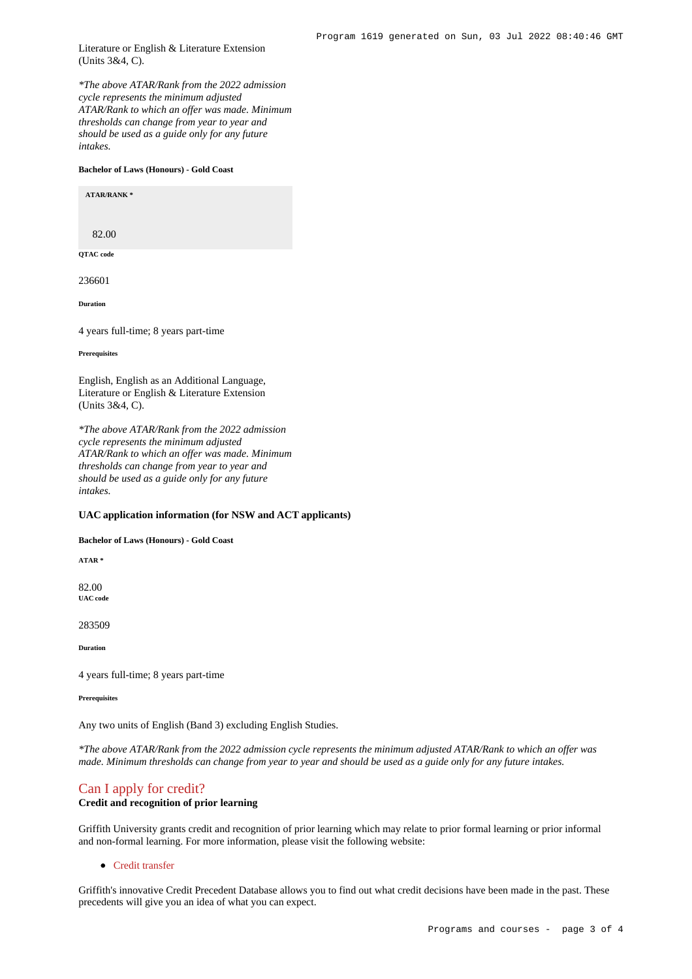Literature or English & Literature Extension (Units 3&4, C).

*\*The above ATAR/Rank from the 2022 admission cycle represents the minimum adjusted ATAR/Rank to which an offer was made. Minimum thresholds can change from year to year and should be used as a guide only for any future intakes.*

#### **Bachelor of Laws (Honours) - Gold Coast**

**ATAR/RANK \***

82.00

**QTAC code**

236601

**Duration**

4 years full-time; 8 years part-time

**Prerequisites**

English, English as an Additional Language, Literature or English & Literature Extension (Units 3&4, C).

*\*The above ATAR/Rank from the 2022 admission cycle represents the minimum adjusted ATAR/Rank to which an offer was made. Minimum thresholds can change from year to year and should be used as a guide only for any future intakes.*

#### **UAC application information (for NSW and ACT applicants)**

**Bachelor of Laws (Honours) - Gold Coast**

**ATAR \***

82.00 **UAC code**

283509

**Duration**

4 years full-time; 8 years part-time

**Prerequisites**

Any two units of English (Band 3) excluding English Studies.

*\*The above ATAR/Rank from the 2022 admission cycle represents the minimum adjusted ATAR/Rank to which an offer was made. Minimum thresholds can change from year to year and should be used as a guide only for any future intakes.*

#### [Can I apply for credit?](https://www148.griffith.edu.au/programs-courses/Program/1619/HowToApply/Domestic#credit)

#### **Credit and recognition of prior learning**

Griffith University grants credit and recognition of prior learning which may relate to prior formal learning or prior informal and non-formal learning. For more information, please visit the following website:

• [Credit transfer](https://www.griffith.edu.au/apply/credit-transfer)

Griffith's innovative Credit Precedent Database allows you to find out what credit decisions have been made in the past. These precedents will give you an idea of what you can expect.